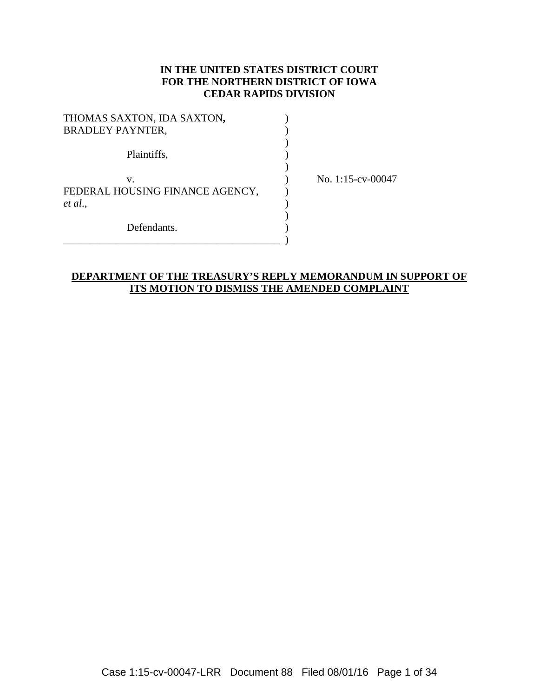### **IN THE UNITED STATES DISTRICT COURT FOR THE NORTHERN DISTRICT OF IOWA CEDAR RAPIDS DIVISION**

| THOMAS SAXTON, IDA SAXTON,<br><b>BRADLEY PAYNTER,</b> |  |
|-------------------------------------------------------|--|
| Plaintiffs,                                           |  |
| V.<br>FEDERAL HOUSING FINANCE AGENCY,<br>et al.,      |  |
| Defendants.                                           |  |

No. 1:15-cv-00047

### **DEPARTMENT OF THE TREASURY'S REPLY MEMORANDUM IN SUPPORT OF ITS MOTION TO DISMISS THE AMENDED COMPLAINT**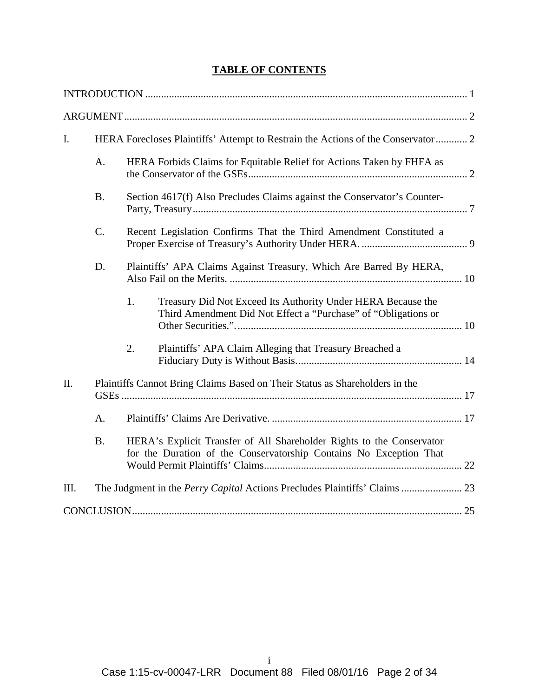# **TABLE OF CONTENTS**

| $\mathbf{I}$ . | HERA Forecloses Plaintiffs' Attempt to Restrain the Actions of the Conservator 2 |                                                                                                                                             |                                                                                                                                |  |
|----------------|----------------------------------------------------------------------------------|---------------------------------------------------------------------------------------------------------------------------------------------|--------------------------------------------------------------------------------------------------------------------------------|--|
|                | A.                                                                               |                                                                                                                                             | HERA Forbids Claims for Equitable Relief for Actions Taken by FHFA as                                                          |  |
|                | <b>B.</b>                                                                        | Section 4617(f) Also Precludes Claims against the Conservator's Counter-                                                                    |                                                                                                                                |  |
|                | $\mathcal{C}$ .                                                                  | Recent Legislation Confirms That the Third Amendment Constituted a                                                                          |                                                                                                                                |  |
|                | D.                                                                               |                                                                                                                                             | Plaintiffs' APA Claims Against Treasury, Which Are Barred By HERA,                                                             |  |
|                |                                                                                  | 1.                                                                                                                                          | Treasury Did Not Exceed Its Authority Under HERA Because the<br>Third Amendment Did Not Effect a "Purchase" of "Obligations or |  |
|                |                                                                                  | 2.                                                                                                                                          | Plaintiffs' APA Claim Alleging that Treasury Breached a                                                                        |  |
| II.            |                                                                                  |                                                                                                                                             | Plaintiffs Cannot Bring Claims Based on Their Status as Shareholders in the                                                    |  |
|                | A.                                                                               |                                                                                                                                             |                                                                                                                                |  |
|                | <b>B.</b>                                                                        | HERA's Explicit Transfer of All Shareholder Rights to the Conservator<br>for the Duration of the Conservatorship Contains No Exception That |                                                                                                                                |  |
| III.           |                                                                                  |                                                                                                                                             | The Judgment in the Perry Capital Actions Precludes Plaintiffs' Claims  23                                                     |  |
|                |                                                                                  |                                                                                                                                             |                                                                                                                                |  |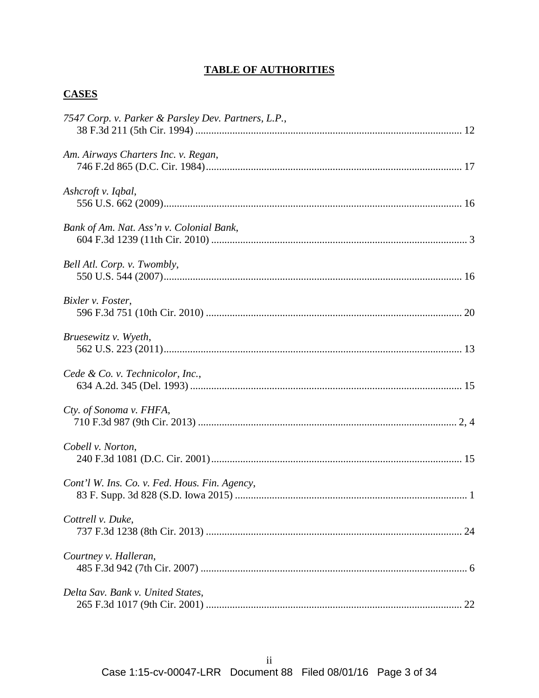## **TABLE OF AUTHORITIES**

## **CASES**

| 7547 Corp. v. Parker & Parsley Dev. Partners, L.P., |    |
|-----------------------------------------------------|----|
| Am. Airways Charters Inc. v. Regan,                 |    |
| Ashcroft v. Iqbal,                                  |    |
| Bank of Am. Nat. Ass'n v. Colonial Bank,            |    |
| Bell Atl. Corp. v. Twombly,                         |    |
| Bixler v. Foster,                                   |    |
| Bruesewitz v. Wyeth,                                |    |
| Cede & Co. v. Technicolor, Inc.,                    |    |
| Cty. of Sonoma v. FHFA,                             |    |
| Cobell v. Norton,                                   |    |
| Cont'l W. Ins. Co. v. Fed. Hous. Fin. Agency,       |    |
| Cottrell v. Duke,                                   | 24 |
| Courtney v. Halleran,                               |    |
| Delta Sav. Bank v. United States,                   |    |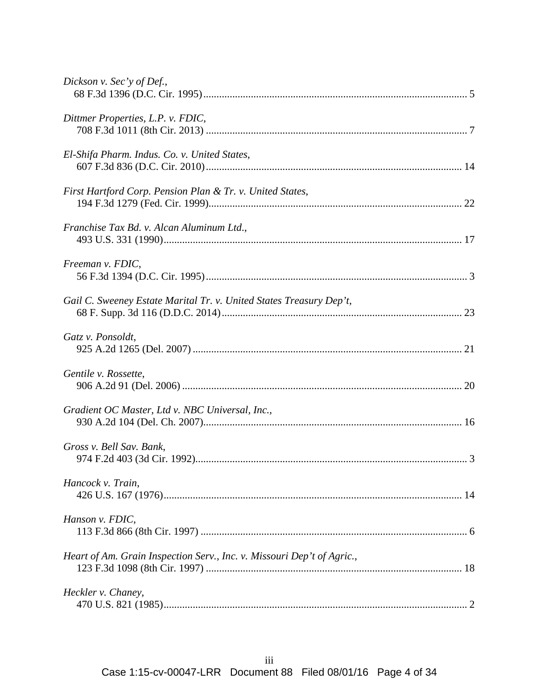| Dickson v. Sec'y of Def.,                                              |
|------------------------------------------------------------------------|
| Dittmer Properties, L.P. v. FDIC,                                      |
| El-Shifa Pharm. Indus. Co. v. United States,                           |
| First Hartford Corp. Pension Plan & Tr. v. United States,              |
| Franchise Tax Bd. v. Alcan Aluminum Ltd.,                              |
| Freeman v. FDIC,                                                       |
| Gail C. Sweeney Estate Marital Tr. v. United States Treasury Dep't,    |
| Gatz v. Ponsoldt,                                                      |
| Gentile v. Rossette,                                                   |
| Gradient OC Master, Ltd v. NBC Universal, Inc.,                        |
| Gross v. Bell Sav. Bank,                                               |
| Hancock v. Train,                                                      |
| Hanson v. FDIC,                                                        |
| Heart of Am. Grain Inspection Serv., Inc. v. Missouri Dep't of Agric., |
| Heckler v. Chaney,                                                     |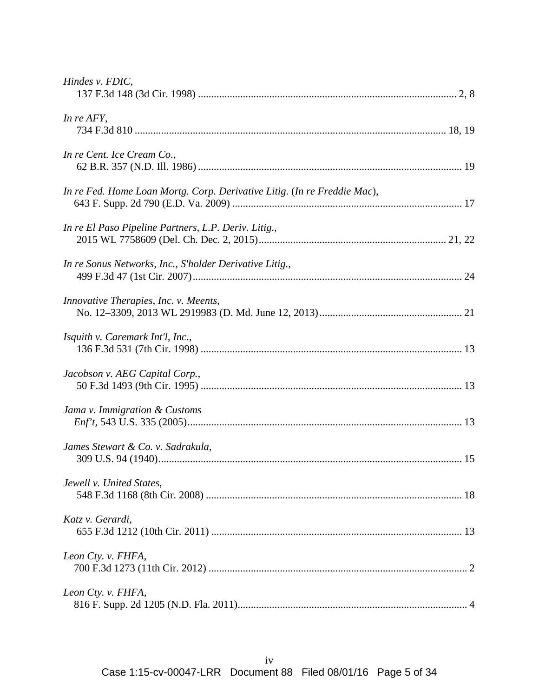| Hindes v. FDIC,                                                          |
|--------------------------------------------------------------------------|
| In re AFY,                                                               |
| In re Cent. Ice Cream Co.,                                               |
| In re Fed. Home Loan Mortg. Corp. Derivative Litig. (In re Freddie Mac), |
| In re El Paso Pipeline Partners, L.P. Deriv. Litig.,                     |
| In re Sonus Networks, Inc., S'holder Derivative Litig.,                  |
| Innovative Therapies, Inc. v. Meents,                                    |
| Isquith v. Caremark Int'l, Inc.,                                         |
| Jacobson v. AEG Capital Corp.,                                           |
| Jama v. Immigration & Customs                                            |
| James Stewart & Co. v. Sadrakula,                                        |
| Jewell v. United States,                                                 |
| Katz v. Gerardi,                                                         |
| Leon Cty. v. FHFA,                                                       |
| Leon Cty. v. FHFA,                                                       |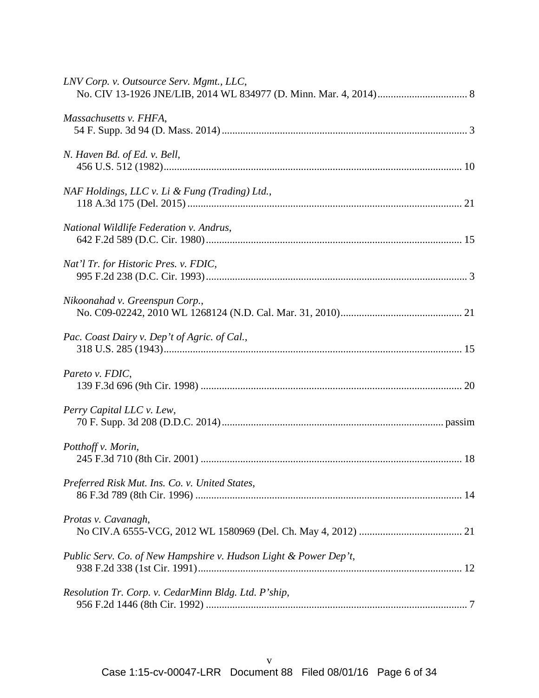| LNV Corp. v. Outsource Serv. Mgmt., LLC,                         |
|------------------------------------------------------------------|
| Massachusetts v. FHFA,                                           |
| N. Haven Bd. of Ed. v. Bell,                                     |
| NAF Holdings, LLC v. Li & Fung (Trading) Ltd.,                   |
| National Wildlife Federation v. Andrus,                          |
| Nat'l Tr. for Historic Pres. v. FDIC,                            |
| Nikoonahad v. Greenspun Corp.,                                   |
| Pac. Coast Dairy v. Dep't of Agric. of Cal.,                     |
| Pareto v. FDIC,                                                  |
| Perry Capital LLC v. Lew,                                        |
| Potthoff v. Morin,                                               |
| Preferred Risk Mut. Ins. Co. v. United States,                   |
| Protas v. Cavanagh,                                              |
| Public Serv. Co. of New Hampshire v. Hudson Light & Power Dep't, |
| Resolution Tr. Corp. v. CedarMinn Bldg. Ltd. P'ship,             |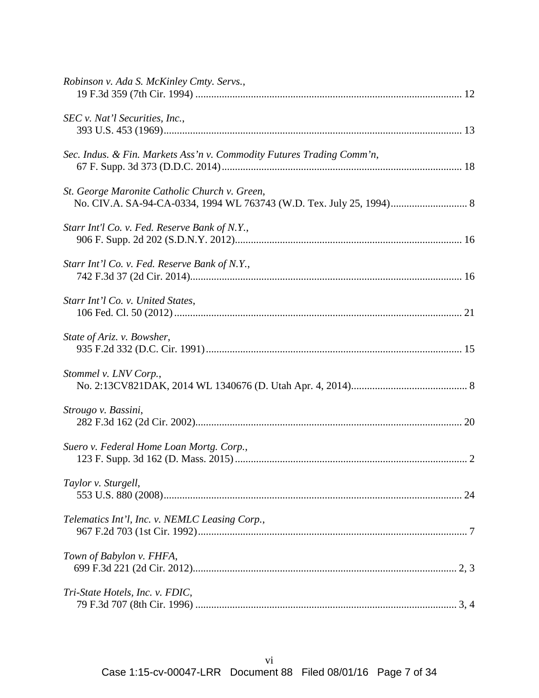| Robinson v. Ada S. McKinley Cmty. Servs.,                             |  |
|-----------------------------------------------------------------------|--|
| SEC v. Nat'l Securities, Inc.,                                        |  |
| Sec. Indus. & Fin. Markets Ass'n v. Commodity Futures Trading Comm'n, |  |
| St. George Maronite Catholic Church v. Green,                         |  |
| Starr Int'l Co. v. Fed. Reserve Bank of N.Y.,                         |  |
| Starr Int'l Co. v. Fed. Reserve Bank of N.Y.,                         |  |
| Starr Int'l Co. v. United States,                                     |  |
| State of Ariz. v. Bowsher,                                            |  |
| Stommel v. LNV Corp.,                                                 |  |
| Strougo v. Bassini,                                                   |  |
| Suero v. Federal Home Loan Mortg. Corp.,                              |  |
| Taylor v. Sturgell,                                                   |  |
| Telematics Int'l, Inc. v. NEMLC Leasing Corp.,                        |  |
| Town of Babylon v. FHFA,                                              |  |
| Tri-State Hotels, Inc. v. FDIC,                                       |  |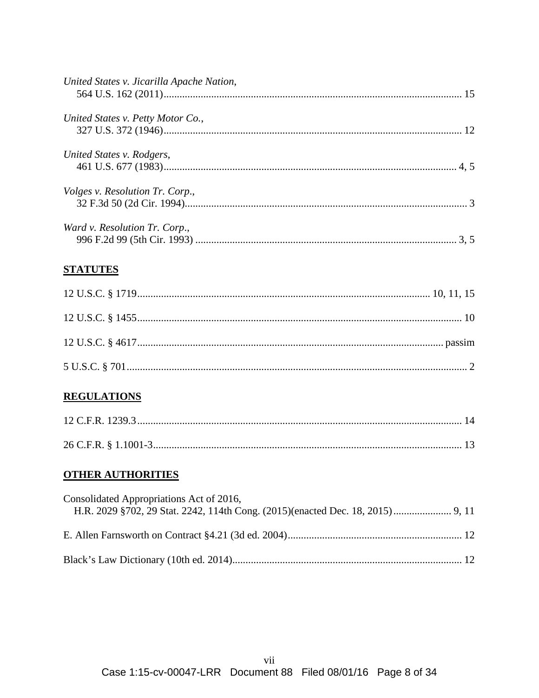| United States v. Jicarilla Apache Nation, |  |
|-------------------------------------------|--|
| United States v. Petty Motor Co.,         |  |
| United States v. Rodgers,                 |  |
| <i>Volges v. Resolution Tr. Corp.,</i>    |  |
| Ward v. Resolution Tr. Corp.,             |  |

# **STATUTES**

## **REGULATIONS**

## **OTHER AUTHORITIES**

| Consolidated Appropriations Act of 2016, |  |
|------------------------------------------|--|
|                                          |  |
|                                          |  |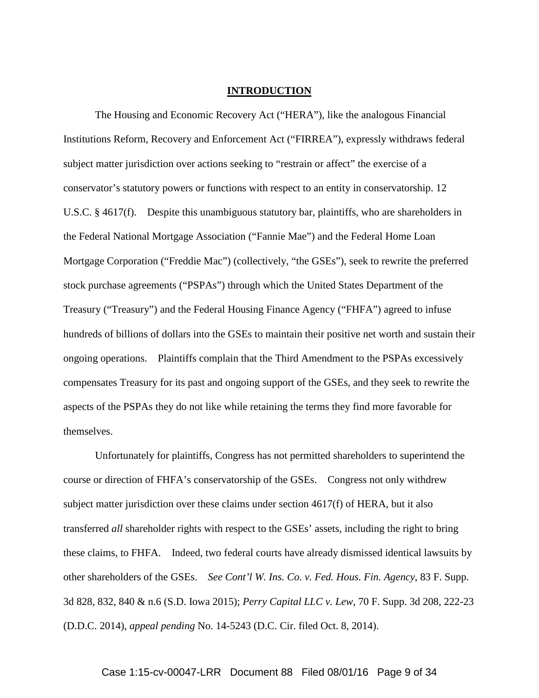#### **INTRODUCTION**

The Housing and Economic Recovery Act ("HERA"), like the analogous Financial Institutions Reform, Recovery and Enforcement Act ("FIRREA"), expressly withdraws federal subject matter jurisdiction over actions seeking to "restrain or affect" the exercise of a conservator's statutory powers or functions with respect to an entity in conservatorship. 12 U.S.C. § 4617(f). Despite this unambiguous statutory bar, plaintiffs, who are shareholders in the Federal National Mortgage Association ("Fannie Mae") and the Federal Home Loan Mortgage Corporation ("Freddie Mac") (collectively, "the GSEs"), seek to rewrite the preferred stock purchase agreements ("PSPAs") through which the United States Department of the Treasury ("Treasury") and the Federal Housing Finance Agency ("FHFA") agreed to infuse hundreds of billions of dollars into the GSEs to maintain their positive net worth and sustain their ongoing operations. Plaintiffs complain that the Third Amendment to the PSPAs excessively compensates Treasury for its past and ongoing support of the GSEs, and they seek to rewrite the aspects of the PSPAs they do not like while retaining the terms they find more favorable for themselves.

Unfortunately for plaintiffs, Congress has not permitted shareholders to superintend the course or direction of FHFA's conservatorship of the GSEs. Congress not only withdrew subject matter jurisdiction over these claims under section 4617(f) of HERA, but it also transferred *all* shareholder rights with respect to the GSEs' assets, including the right to bring these claims, to FHFA. Indeed, two federal courts have already dismissed identical lawsuits by other shareholders of the GSEs. *See Cont'l W. Ins. Co. v. Fed. Hous. Fin. Agency*, 83 F. Supp. 3d 828, 832, 840 & n.6 (S.D. Iowa 2015); *Perry Capital LLC v. Lew*, 70 F. Supp. 3d 208, 222-23 (D.D.C. 2014), *appeal pending* No. 14-5243 (D.C. Cir. filed Oct. 8, 2014).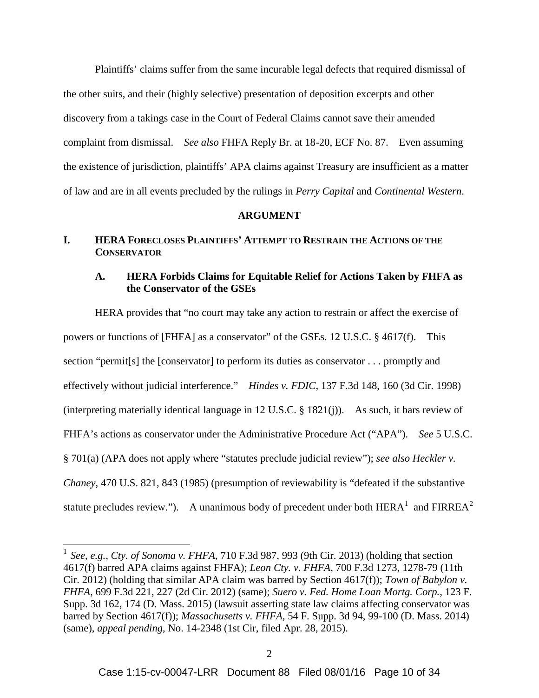Plaintiffs' claims suffer from the same incurable legal defects that required dismissal of the other suits, and their (highly selective) presentation of deposition excerpts and other discovery from a takings case in the Court of Federal Claims cannot save their amended complaint from dismissal. *See also* FHFA Reply Br. at 18-20, ECF No. 87. Even assuming the existence of jurisdiction, plaintiffs' APA claims against Treasury are insufficient as a matter of law and are in all events precluded by the rulings in *Perry Capital* and *Continental Western*.

#### **ARGUMENT**

#### **I. HERA FORECLOSES PLAINTIFFS' ATTEMPT TO RESTRAIN THE ACTIONS OF THE CONSERVATOR**

#### **A. HERA Forbids Claims for Equitable Relief for Actions Taken by FHFA as the Conservator of the GSEs**

HERA provides that "no court may take any action to restrain or affect the exercise of powers or functions of [FHFA] as a conservator" of the GSEs. 12 U.S.C. § 4617(f). This section "permit[s] the [conservator] to perform its duties as conservator . . . promptly and effectively without judicial interference." *Hindes v. FDIC*, 137 F.3d 148, 160 (3d Cir. 1998) (interpreting materially identical language in 12 U.S.C. § 1821(j)). As such, it bars review of FHFA's actions as conservator under the Administrative Procedure Act ("APA"). *See* 5 U.S.C. § 701(a) (APA does not apply where "statutes preclude judicial review"); *see also Heckler v. Chaney*, 470 U.S. 821, 843 (1985) (presumption of reviewability is "defeated if the substantive statute precludes review."). A unanimous body of precedent under both  $HERA<sup>1</sup>$  and  $FIRREA<sup>2</sup>$ 

 <sup>1</sup> *See, e.g.*, *Cty. of Sonoma v. FHFA*, 710 F.3d 987, 993 (9th Cir. 2013) (holding that section 4617(f) barred APA claims against FHFA); *Leon Cty. v. FHFA*, 700 F.3d 1273, 1278-79 (11th Cir. 2012) (holding that similar APA claim was barred by Section 4617(f)); *Town of Babylon v. FHFA*, 699 F.3d 221, 227 (2d Cir. 2012) (same); *Suero v. Fed. Home Loan Mortg. Corp.*, 123 F. Supp. 3d 162, 174 (D. Mass. 2015) (lawsuit asserting state law claims affecting conservator was barred by Section 4617(f)); *Massachusetts v. FHFA*, 54 F. Supp. 3d 94, 99-100 (D. Mass. 2014) (same), *appeal pending*, No. 14-2348 (1st Cir, filed Apr. 28, 2015).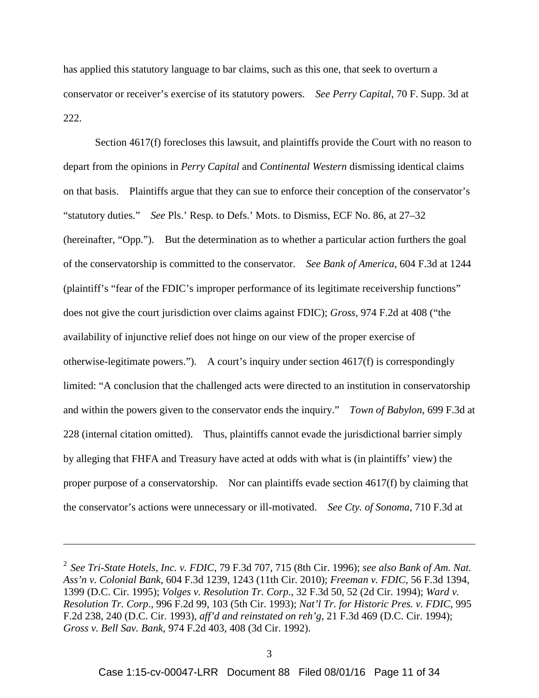has applied this statutory language to bar claims, such as this one, that seek to overturn a conservator or receiver's exercise of its statutory powers. *See Perry Capital*, 70 F. Supp. 3d at 222.

Section 4617(f) forecloses this lawsuit, and plaintiffs provide the Court with no reason to depart from the opinions in *Perry Capital* and *Continental Western* dismissing identical claims on that basis. Plaintiffs argue that they can sue to enforce their conception of the conservator's "statutory duties." *See* Pls.' Resp. to Defs.' Mots. to Dismiss, ECF No. 86, at 27–32 (hereinafter, "Opp."). But the determination as to whether a particular action furthers the goal of the conservatorship is committed to the conservator. *See Bank of America*, 604 F.3d at 1244 (plaintiff's "fear of the FDIC's improper performance of its legitimate receivership functions" does not give the court jurisdiction over claims against FDIC); *Gross*, 974 F.2d at 408 ("the availability of injunctive relief does not hinge on our view of the proper exercise of otherwise-legitimate powers."). A court's inquiry under section 4617(f) is correspondingly limited: "A conclusion that the challenged acts were directed to an institution in conservatorship and within the powers given to the conservator ends the inquiry." *Town of Babylon*, 699 F.3d at 228 (internal citation omitted). Thus, plaintiffs cannot evade the jurisdictional barrier simply by alleging that FHFA and Treasury have acted at odds with what is (in plaintiffs' view) the proper purpose of a conservatorship. Nor can plaintiffs evade section 4617(f) by claiming that the conservator's actions were unnecessary or ill-motivated. *See Cty. of Sonoma*, 710 F.3d at

 $\overline{a}$ 

<sup>2</sup> *See Tri-State Hotels, Inc. v. FDIC*, 79 F.3d 707, 715 (8th Cir. 1996); *see also Bank of Am. Nat. Ass'n v. Colonial Bank*, 604 F.3d 1239, 1243 (11th Cir. 2010); *Freeman v. FDIC*, 56 F.3d 1394, 1399 (D.C. Cir. 1995); *Volges v. Resolution Tr. Corp*., 32 F.3d 50, 52 (2d Cir. 1994); *Ward v. Resolution Tr. Corp*., 996 F.2d 99, 103 (5th Cir. 1993); *Nat'l Tr. for Historic Pres. v. FDIC*, 995 F.2d 238, 240 (D.C. Cir. 1993), *aff'd and reinstated on reh'g*, 21 F.3d 469 (D.C. Cir. 1994); *Gross v. Bell Sav. Bank*, 974 F.2d 403, 408 (3d Cir. 1992).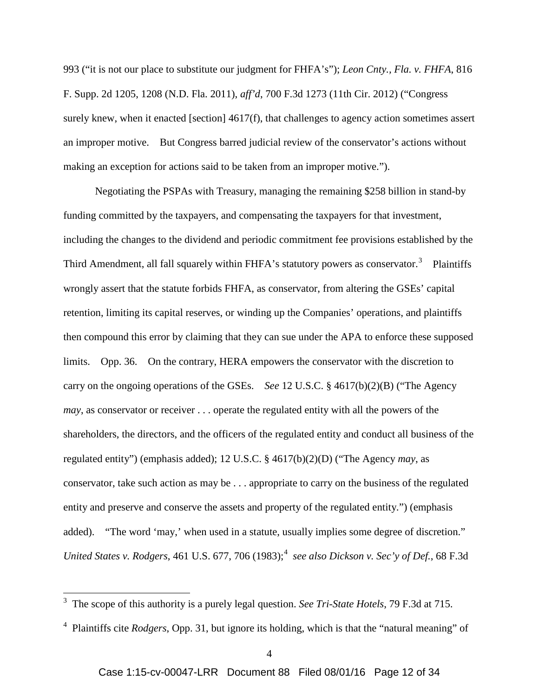993 ("it is not our place to substitute our judgment for FHFA's"); *Leon Cnty., Fla. v. FHFA*, 816 F. Supp. 2d 1205, 1208 (N.D. Fla. 2011), *aff'd*, 700 F.3d 1273 (11th Cir. 2012) ("Congress surely knew, when it enacted [section] 4617(f), that challenges to agency action sometimes assert an improper motive. But Congress barred judicial review of the conservator's actions without making an exception for actions said to be taken from an improper motive.").

Negotiating the PSPAs with Treasury, managing the remaining \$258 billion in stand-by funding committed by the taxpayers, and compensating the taxpayers for that investment, including the changes to the dividend and periodic commitment fee provisions established by the Third Amendment, all fall squarely within FHFA's statutory powers as conservator.<sup>3</sup> Plaintiffs wrongly assert that the statute forbids FHFA, as conservator, from altering the GSEs' capital retention, limiting its capital reserves, or winding up the Companies' operations, and plaintiffs then compound this error by claiming that they can sue under the APA to enforce these supposed limits. Opp. 36. On the contrary, HERA empowers the conservator with the discretion to carry on the ongoing operations of the GSEs. *See* 12 U.S.C. § 4617(b)(2)(B) ("The Agency *may*, as conservator or receiver . . . operate the regulated entity with all the powers of the shareholders, the directors, and the officers of the regulated entity and conduct all business of the regulated entity") (emphasis added); 12 U.S.C. § 4617(b)(2)(D) ("The Agency *may*, as conservator, take such action as may be . . . appropriate to carry on the business of the regulated entity and preserve and conserve the assets and property of the regulated entity.") (emphasis added). "The word 'may,' when used in a statute, usually implies some degree of discretion." *United States v. Rodgers*, 461 U.S. 677, 706 (1983); <sup>4</sup> *see also Dickson v. Sec'y of Def.*, 68 F.3d

 <sup>3</sup> The scope of this authority is a purely legal question. *See Tri-State Hotels*, 79 F.3d at 715.

<sup>4</sup> Plaintiffs cite *Rodgers*, Opp. 31, but ignore its holding, which is that the "natural meaning" of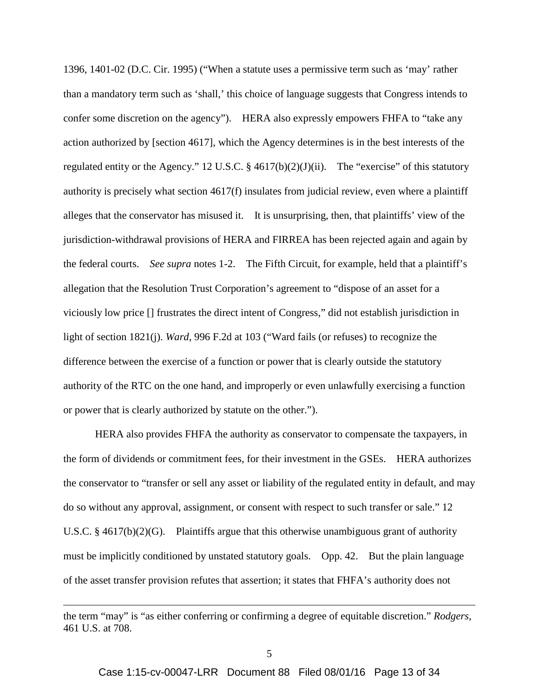1396, 1401-02 (D.C. Cir. 1995) ("When a statute uses a permissive term such as 'may' rather than a mandatory term such as 'shall,' this choice of language suggests that Congress intends to confer some discretion on the agency"). HERA also expressly empowers FHFA to "take any action authorized by [section 4617], which the Agency determines is in the best interests of the regulated entity or the Agency." 12 U.S.C. § 4617(b)(2)(J)(ii). The "exercise" of this statutory authority is precisely what section 4617(f) insulates from judicial review, even where a plaintiff alleges that the conservator has misused it. It is unsurprising, then, that plaintiffs' view of the jurisdiction-withdrawal provisions of HERA and FIRREA has been rejected again and again by the federal courts. *See supra* notes 1-2. The Fifth Circuit, for example, held that a plaintiff's allegation that the Resolution Trust Corporation's agreement to "dispose of an asset for a viciously low price [] frustrates the direct intent of Congress," did not establish jurisdiction in light of section 1821(j). *Ward*, 996 F.2d at 103 ("Ward fails (or refuses) to recognize the difference between the exercise of a function or power that is clearly outside the statutory authority of the RTC on the one hand, and improperly or even unlawfully exercising a function or power that is clearly authorized by statute on the other.").

HERA also provides FHFA the authority as conservator to compensate the taxpayers, in the form of dividends or commitment fees, for their investment in the GSEs. HERA authorizes the conservator to "transfer or sell any asset or liability of the regulated entity in default, and may do so without any approval, assignment, or consent with respect to such transfer or sale." 12 U.S.C. § 4617(b)(2)(G). Plaintiffs argue that this otherwise unambiguous grant of authority must be implicitly conditioned by unstated statutory goals. Opp. 42. But the plain language of the asset transfer provision refutes that assertion; it states that FHFA's authority does not

 $\overline{a}$ 

the term "may" is "as either conferring or confirming a degree of equitable discretion." *Rodgers*, 461 U.S. at 708.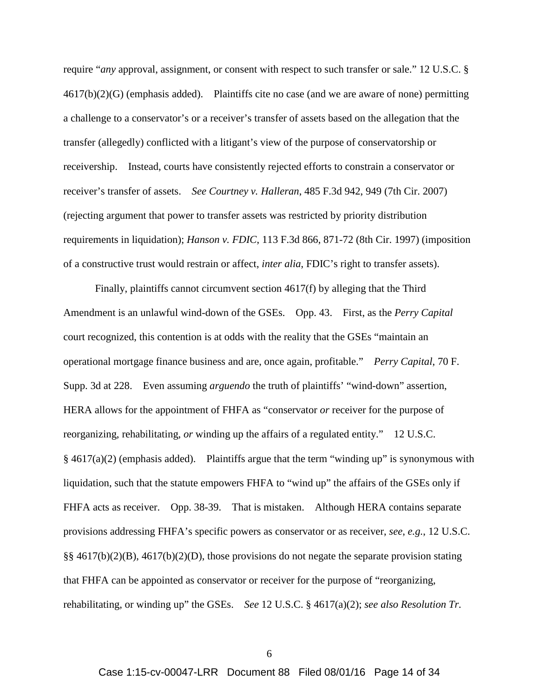require "*any* approval, assignment, or consent with respect to such transfer or sale." 12 U.S.C. § 4617(b)(2)(G) (emphasis added). Plaintiffs cite no case (and we are aware of none) permitting a challenge to a conservator's or a receiver's transfer of assets based on the allegation that the transfer (allegedly) conflicted with a litigant's view of the purpose of conservatorship or receivership. Instead, courts have consistently rejected efforts to constrain a conservator or receiver's transfer of assets. *See Courtney v. Halleran*, 485 F.3d 942, 949 (7th Cir. 2007) (rejecting argument that power to transfer assets was restricted by priority distribution requirements in liquidation); *Hanson v. FDIC*, 113 F.3d 866, 871-72 (8th Cir. 1997) (imposition of a constructive trust would restrain or affect, *inter alia*, FDIC's right to transfer assets).

Finally, plaintiffs cannot circumvent section 4617(f) by alleging that the Third Amendment is an unlawful wind-down of the GSEs. Opp. 43. First, as the *Perry Capital*  court recognized, this contention is at odds with the reality that the GSEs "maintain an operational mortgage finance business and are, once again, profitable." *Perry Capital*, 70 F. Supp. 3d at 228. Even assuming *arguendo* the truth of plaintiffs' "wind-down" assertion, HERA allows for the appointment of FHFA as "conservator *or* receiver for the purpose of reorganizing, rehabilitating, *or* winding up the affairs of a regulated entity." 12 U.S.C.  $§$  4617(a)(2) (emphasis added). Plaintiffs argue that the term "winding up" is synonymous with liquidation, such that the statute empowers FHFA to "wind up" the affairs of the GSEs only if FHFA acts as receiver. Opp. 38-39. That is mistaken. Although HERA contains separate provisions addressing FHFA's specific powers as conservator or as receiver, *see*, *e.g.*, 12 U.S.C. §§ 4617(b)(2)(B), 4617(b)(2)(D), those provisions do not negate the separate provision stating that FHFA can be appointed as conservator or receiver for the purpose of "reorganizing, rehabilitating, or winding up" the GSEs. *See* 12 U.S.C. § 4617(a)(2); *see also Resolution Tr.*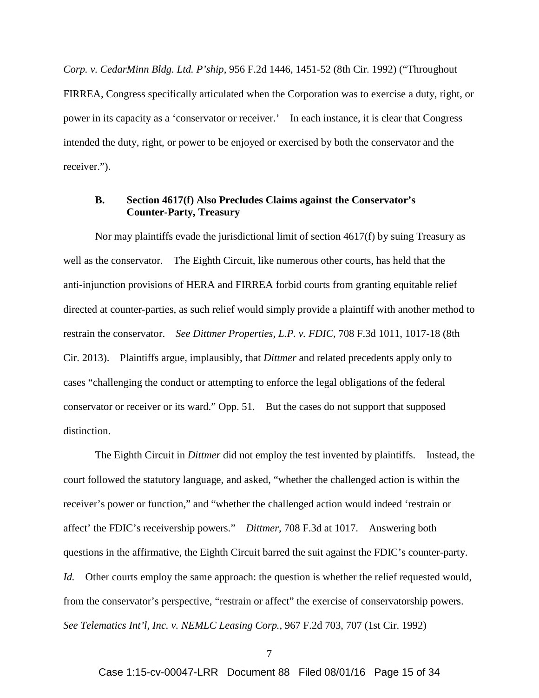*Corp. v. CedarMinn Bldg. Ltd. P'ship*, 956 F.2d 1446, 1451-52 (8th Cir. 1992) ("Throughout FIRREA, Congress specifically articulated when the Corporation was to exercise a duty, right, or power in its capacity as a 'conservator or receiver.' In each instance, it is clear that Congress intended the duty, right, or power to be enjoyed or exercised by both the conservator and the receiver.").

#### **B. Section 4617(f) Also Precludes Claims against the Conservator's Counter-Party, Treasury**

Nor may plaintiffs evade the jurisdictional limit of section 4617(f) by suing Treasury as well as the conservator. The Eighth Circuit, like numerous other courts, has held that the anti-injunction provisions of HERA and FIRREA forbid courts from granting equitable relief directed at counter-parties, as such relief would simply provide a plaintiff with another method to restrain the conservator. *See Dittmer Properties, L.P. v. FDIC*, 708 F.3d 1011, 1017-18 (8th Cir. 2013). Plaintiffs argue, implausibly, that *Dittmer* and related precedents apply only to cases "challenging the conduct or attempting to enforce the legal obligations of the federal conservator or receiver or its ward." Opp. 51. But the cases do not support that supposed distinction.

The Eighth Circuit in *Dittmer* did not employ the test invented by plaintiffs. Instead, the court followed the statutory language, and asked, "whether the challenged action is within the receiver's power or function," and "whether the challenged action would indeed 'restrain or affect' the FDIC's receivership powers." *Dittmer*, 708 F.3d at 1017. Answering both questions in the affirmative, the Eighth Circuit barred the suit against the FDIC's counter-party. *Id.* Other courts employ the same approach: the question is whether the relief requested would, from the conservator's perspective, "restrain or affect" the exercise of conservatorship powers. *See Telematics Int'l, Inc. v. NEMLC Leasing Corp.*, 967 F.2d 703, 707 (1st Cir. 1992)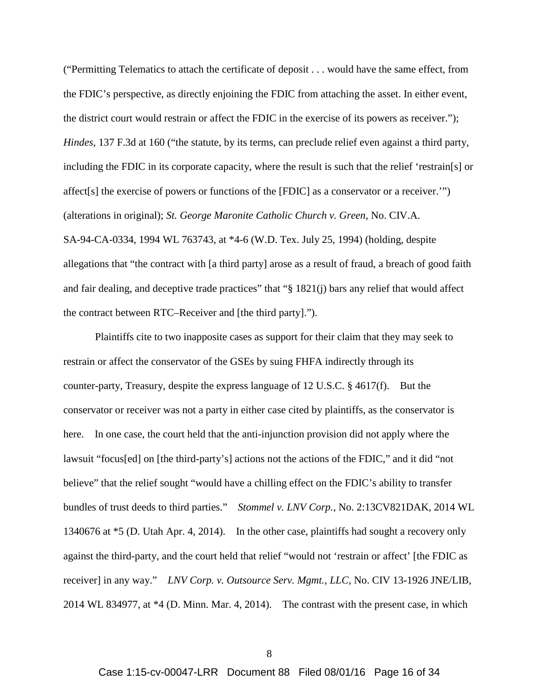("Permitting Telematics to attach the certificate of deposit . . . would have the same effect, from the FDIC's perspective, as directly enjoining the FDIC from attaching the asset. In either event, the district court would restrain or affect the FDIC in the exercise of its powers as receiver."); *Hindes*, 137 F.3d at 160 ("the statute, by its terms, can preclude relief even against a third party, including the FDIC in its corporate capacity, where the result is such that the relief 'restrain[s] or affect[s] the exercise of powers or functions of the [FDIC] as a conservator or a receiver.'") (alterations in original); *St. George Maronite Catholic Church v. Green*, No. CIV.A. SA-94-CA-0334, 1994 WL 763743, at \*4-6 (W.D. Tex. July 25, 1994) (holding, despite allegations that "the contract with [a third party] arose as a result of fraud, a breach of good faith and fair dealing, and deceptive trade practices" that "§ 1821(j) bars any relief that would affect the contract between RTC–Receiver and [the third party].").

Plaintiffs cite to two inapposite cases as support for their claim that they may seek to restrain or affect the conservator of the GSEs by suing FHFA indirectly through its counter-party, Treasury, despite the express language of 12 U.S.C. § 4617(f). But the conservator or receiver was not a party in either case cited by plaintiffs, as the conservator is here. In one case, the court held that the anti-injunction provision did not apply where the lawsuit "focus[ed] on [the third-party's] actions not the actions of the FDIC," and it did "not believe" that the relief sought "would have a chilling effect on the FDIC's ability to transfer bundles of trust deeds to third parties." *Stommel v. LNV Corp.*, No. 2:13CV821DAK, 2014 WL 1340676 at \*5 (D. Utah Apr. 4, 2014). In the other case, plaintiffs had sought a recovery only against the third-party, and the court held that relief "would not 'restrain or affect' [the FDIC as receiver] in any way." *LNV Corp. v. Outsource Serv. Mgmt., LLC*, No. CIV 13-1926 JNE/LIB, 2014 WL 834977, at \*4 (D. Minn. Mar. 4, 2014). The contrast with the present case, in which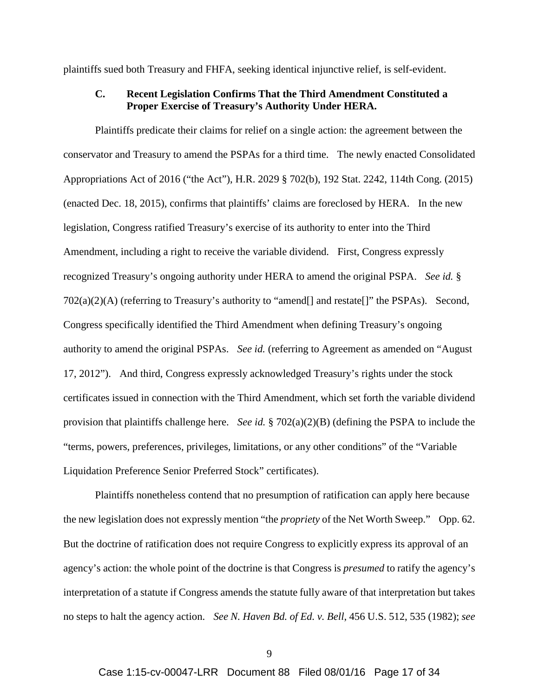plaintiffs sued both Treasury and FHFA, seeking identical injunctive relief, is self-evident.

#### **C. Recent Legislation Confirms That the Third Amendment Constituted a Proper Exercise of Treasury's Authority Under HERA.**

Plaintiffs predicate their claims for relief on a single action: the agreement between the conservator and Treasury to amend the PSPAs for a third time. The newly enacted Consolidated Appropriations Act of 2016 ("the Act"), H.R. 2029 § 702(b), 192 Stat. 2242, 114th Cong. (2015) (enacted Dec. 18, 2015), confirms that plaintiffs' claims are foreclosed by HERA. In the new legislation, Congress ratified Treasury's exercise of its authority to enter into the Third Amendment, including a right to receive the variable dividend. First, Congress expressly recognized Treasury's ongoing authority under HERA to amend the original PSPA. *See id.* § 702(a)(2)(A) (referring to Treasury's authority to "amend[] and restate[]" the PSPAs). Second, Congress specifically identified the Third Amendment when defining Treasury's ongoing authority to amend the original PSPAs. *See id.* (referring to Agreement as amended on "August 17, 2012"). And third, Congress expressly acknowledged Treasury's rights under the stock certificates issued in connection with the Third Amendment, which set forth the variable dividend provision that plaintiffs challenge here. *See id.* § 702(a)(2)(B) (defining the PSPA to include the "terms, powers, preferences, privileges, limitations, or any other conditions" of the "Variable Liquidation Preference Senior Preferred Stock" certificates).

Plaintiffs nonetheless contend that no presumption of ratification can apply here because the new legislation does not expressly mention "the *propriety* of the Net Worth Sweep." Opp. 62. But the doctrine of ratification does not require Congress to explicitly express its approval of an agency's action: the whole point of the doctrine is that Congress is *presumed* to ratify the agency's interpretation of a statute if Congress amends the statute fully aware of that interpretation but takes no steps to halt the agency action. *See N. Haven Bd. of Ed. v. Bell*, 456 U.S. 512, 535 (1982); *see*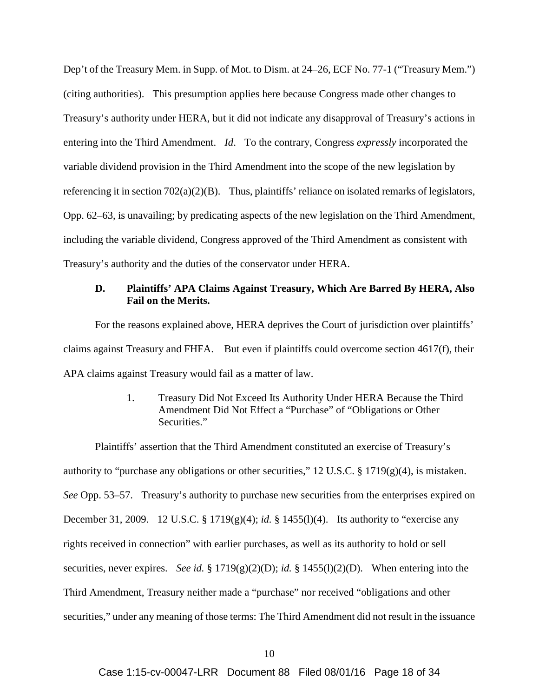Dep't of the Treasury Mem. in Supp. of Mot. to Dism. at 24–26, ECF No. 77-1 ("Treasury Mem.") (citing authorities). This presumption applies here because Congress made other changes to Treasury's authority under HERA, but it did not indicate any disapproval of Treasury's actions in entering into the Third Amendment. *Id*. To the contrary, Congress *expressly* incorporated the variable dividend provision in the Third Amendment into the scope of the new legislation by referencing it in section 702(a)(2)(B). Thus, plaintiffs' reliance on isolated remarks of legislators, Opp. 62–63, is unavailing; by predicating aspects of the new legislation on the Third Amendment, including the variable dividend, Congress approved of the Third Amendment as consistent with Treasury's authority and the duties of the conservator under HERA.

#### **D. Plaintiffs' APA Claims Against Treasury, Which Are Barred By HERA, Also Fail on the Merits.**

For the reasons explained above, HERA deprives the Court of jurisdiction over plaintiffs' claims against Treasury and FHFA. But even if plaintiffs could overcome section 4617(f), their APA claims against Treasury would fail as a matter of law.

> 1. Treasury Did Not Exceed Its Authority Under HERA Because the Third Amendment Did Not Effect a "Purchase" of "Obligations or Other Securities."

Plaintiffs' assertion that the Third Amendment constituted an exercise of Treasury's authority to "purchase any obligations or other securities," 12 U.S.C. § 1719(g)(4), is mistaken. *See* Opp. 53–57. Treasury's authority to purchase new securities from the enterprises expired on December 31, 2009. 12 U.S.C. § 1719(g)(4); *id.* § 1455(l)(4). Its authority to "exercise any rights received in connection" with earlier purchases, as well as its authority to hold or sell securities, never expires. *See id.* § 1719(g)(2)(D); *id.* § 1455(l)(2)(D). When entering into the Third Amendment, Treasury neither made a "purchase" nor received "obligations and other securities," under any meaning of those terms: The Third Amendment did not result in the issuance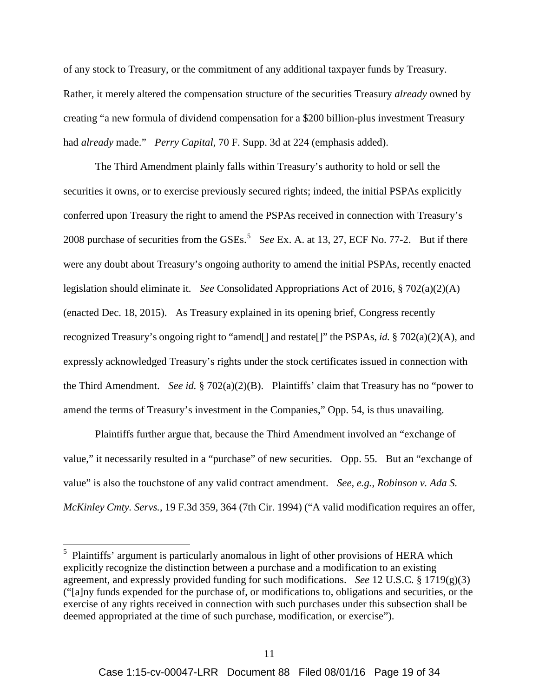of any stock to Treasury, or the commitment of any additional taxpayer funds by Treasury. Rather, it merely altered the compensation structure of the securities Treasury *already* owned by creating "a new formula of dividend compensation for a \$200 billion-plus investment Treasury had *already* made." *Perry Capital*, 70 F. Supp. 3d at 224 (emphasis added).

The Third Amendment plainly falls within Treasury's authority to hold or sell the securities it owns, or to exercise previously secured rights; indeed, the initial PSPAs explicitly conferred upon Treasury the right to amend the PSPAs received in connection with Treasury's 2008 purchase of securities from the GSEs. 5 S*ee* Ex. A. at 13, 27, ECF No. 77-2. But if there were any doubt about Treasury's ongoing authority to amend the initial PSPAs, recently enacted legislation should eliminate it. *See* Consolidated Appropriations Act of 2016, § 702(a)(2)(A) (enacted Dec. 18, 2015). As Treasury explained in its opening brief, Congress recently recognized Treasury's ongoing right to "amend[] and restate[]" the PSPAs, *id.* § 702(a)(2)(A), and expressly acknowledged Treasury's rights under the stock certificates issued in connection with the Third Amendment. *See id.* § 702(a)(2)(B). Plaintiffs' claim that Treasury has no "power to amend the terms of Treasury's investment in the Companies," Opp. 54, is thus unavailing.

Plaintiffs further argue that, because the Third Amendment involved an "exchange of value," it necessarily resulted in a "purchase" of new securities. Opp. 55. But an "exchange of value" is also the touchstone of any valid contract amendment. *See, e.g.*, *Robinson v. Ada S. McKinley Cmty. Servs.*, 19 F.3d 359, 364 (7th Cir. 1994) ("A valid modification requires an offer,

 <sup>5</sup> Plaintiffs' argument is particularly anomalous in light of other provisions of HERA which explicitly recognize the distinction between a purchase and a modification to an existing agreement, and expressly provided funding for such modifications. *See* 12 U.S.C. § 1719(g)(3) ("[a]ny funds expended for the purchase of, or modifications to, obligations and securities, or the exercise of any rights received in connection with such purchases under this subsection shall be deemed appropriated at the time of such purchase, modification, or exercise").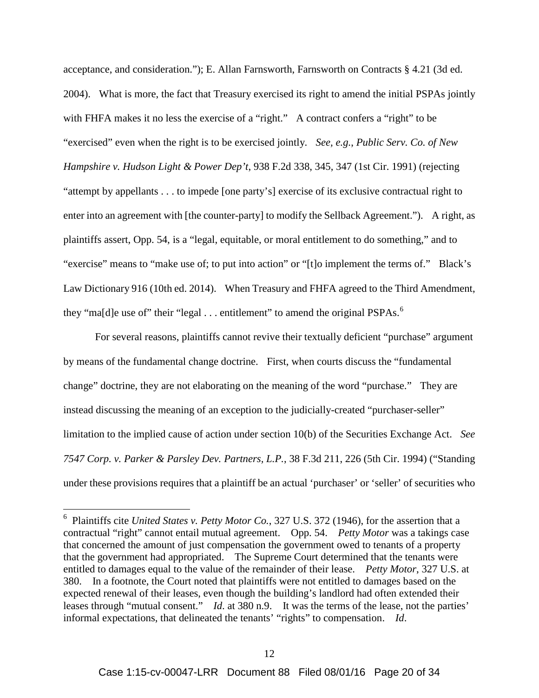acceptance, and consideration."); E. Allan Farnsworth, Farnsworth on Contracts § 4.21 (3d ed. 2004). What is more, the fact that Treasury exercised its right to amend the initial PSPAs jointly with FHFA makes it no less the exercise of a "right." A contract confers a "right" to be "exercised" even when the right is to be exercised jointly. *See, e.g.*, *Public Serv. Co. of New Hampshire v. Hudson Light & Power Dep't*, 938 F.2d 338, 345, 347 (1st Cir. 1991) (rejecting "attempt by appellants . . . to impede [one party's] exercise of its exclusive contractual right to enter into an agreement with [the counter-party] to modify the Sellback Agreement."). A right, as plaintiffs assert, Opp. 54, is a "legal, equitable, or moral entitlement to do something," and to "exercise" means to "make use of; to put into action" or "[t]o implement the terms of." Black's Law Dictionary 916 (10th ed. 2014). When Treasury and FHFA agreed to the Third Amendment, they "ma[d]e use of" their "legal  $\ldots$  entitlement" to amend the original PSPAs.<sup>6</sup>

For several reasons, plaintiffs cannot revive their textually deficient "purchase" argument by means of the fundamental change doctrine. First, when courts discuss the "fundamental change" doctrine, they are not elaborating on the meaning of the word "purchase." They are instead discussing the meaning of an exception to the judicially-created "purchaser-seller" limitation to the implied cause of action under section 10(b) of the Securities Exchange Act. *See 7547 Corp. v. Parker & Parsley Dev. Partners, L.P.*, 38 F.3d 211, 226 (5th Cir. 1994) ("Standing under these provisions requires that a plaintiff be an actual 'purchaser' or 'seller' of securities who

 <sup>6</sup> Plaintiffs cite *United States v. Petty Motor Co.*, 327 U.S. 372 (1946), for the assertion that a contractual "right" cannot entail mutual agreement. Opp. 54. *Petty Motor* was a takings case that concerned the amount of just compensation the government owed to tenants of a property that the government had appropriated. The Supreme Court determined that the tenants were entitled to damages equal to the value of the remainder of their lease. *Petty Motor*, 327 U.S. at 380. In a footnote, the Court noted that plaintiffs were not entitled to damages based on the expected renewal of their leases, even though the building's landlord had often extended their leases through "mutual consent." *Id*. at 380 n.9. It was the terms of the lease, not the parties' informal expectations, that delineated the tenants' "rights" to compensation. *Id*.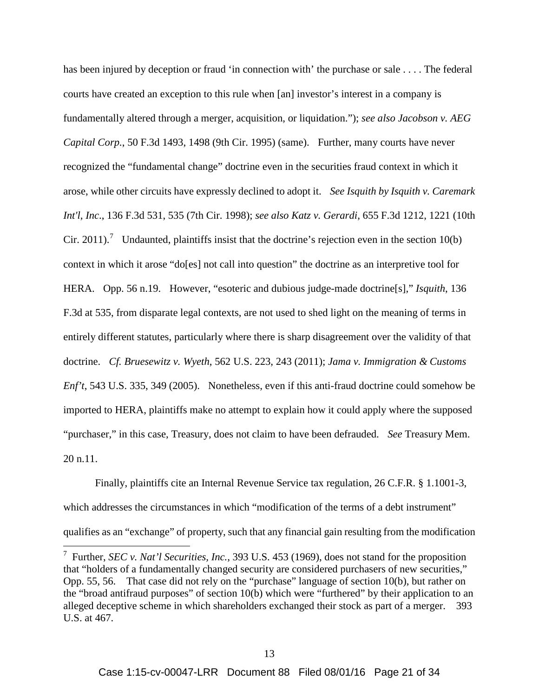has been injured by deception or fraud 'in connection with' the purchase or sale . . . . The federal courts have created an exception to this rule when [an] investor's interest in a company is fundamentally altered through a merger, acquisition, or liquidation."); *see also Jacobson v. AEG Capital Corp.*, 50 F.3d 1493, 1498 (9th Cir. 1995) (same). Further, many courts have never recognized the "fundamental change" doctrine even in the securities fraud context in which it arose, while other circuits have expressly declined to adopt it. *See Isquith by Isquith v. Caremark Int'l, Inc*., 136 F.3d 531, 535 (7th Cir. 1998); *see also Katz v. Gerardi*, 655 F.3d 1212, 1221 (10th Cir. 2011).<sup>7</sup> Undaunted, plaintiffs insist that the doctrine's rejection even in the section 10(b) context in which it arose "do[es] not call into question" the doctrine as an interpretive tool for HERA. Opp. 56 n.19. However, "esoteric and dubious judge-made doctrine[s]," *Isquith*, 136 F.3d at 535, from disparate legal contexts, are not used to shed light on the meaning of terms in entirely different statutes, particularly where there is sharp disagreement over the validity of that doctrine. *Cf. Bruesewitz v. Wyeth*, 562 U.S. 223, 243 (2011); *Jama v. Immigration & Customs Enf't*, 543 U.S. 335, 349 (2005). Nonetheless, even if this anti-fraud doctrine could somehow be imported to HERA, plaintiffs make no attempt to explain how it could apply where the supposed "purchaser," in this case, Treasury, does not claim to have been defrauded. *See* Treasury Mem. 20 n.11.

Finally, plaintiffs cite an Internal Revenue Service tax regulation, 26 C.F.R. § 1.1001-3, which addresses the circumstances in which "modification of the terms of a debt instrument" qualifies as an "exchange" of property, such that any financial gain resulting from the modification

 <sup>7</sup> Further, *SEC v. Nat'l Securities, Inc.*, 393 U.S. 453 (1969), does not stand for the proposition that "holders of a fundamentally changed security are considered purchasers of new securities," Opp. 55, 56. That case did not rely on the "purchase" language of section 10(b), but rather on the "broad antifraud purposes" of section 10(b) which were "furthered" by their application to an alleged deceptive scheme in which shareholders exchanged their stock as part of a merger. 393 U.S. at 467.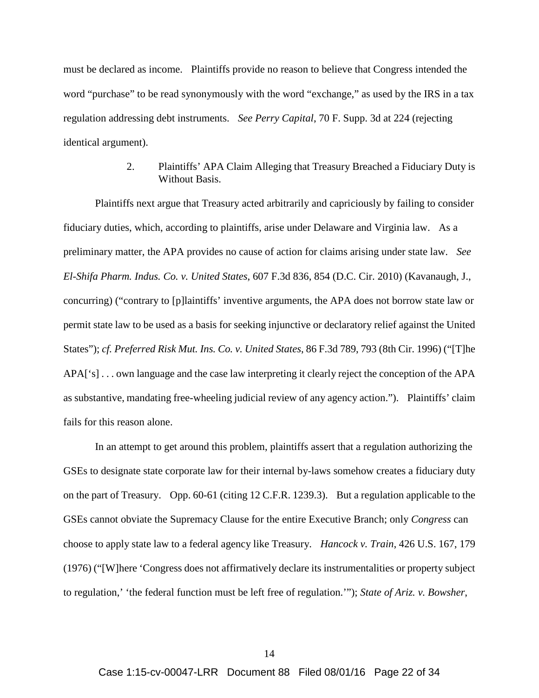must be declared as income. Plaintiffs provide no reason to believe that Congress intended the word "purchase" to be read synonymously with the word "exchange," as used by the IRS in a tax regulation addressing debt instruments. *See Perry Capital*, 70 F. Supp. 3d at 224 (rejecting identical argument).

#### 2. Plaintiffs' APA Claim Alleging that Treasury Breached a Fiduciary Duty is Without Basis.

Plaintiffs next argue that Treasury acted arbitrarily and capriciously by failing to consider fiduciary duties, which, according to plaintiffs, arise under Delaware and Virginia law. As a preliminary matter, the APA provides no cause of action for claims arising under state law. *See El-Shifa Pharm. Indus. Co. v. United States*, 607 F.3d 836, 854 (D.C. Cir. 2010) (Kavanaugh, J., concurring) ("contrary to [p]laintiffs' inventive arguments, the APA does not borrow state law or permit state law to be used as a basis for seeking injunctive or declaratory relief against the United States"); *cf. Preferred Risk Mut. Ins. Co. v. United States*, 86 F.3d 789, 793 (8th Cir. 1996) ("[T]he APA['s] . . . own language and the case law interpreting it clearly reject the conception of the APA as substantive, mandating free-wheeling judicial review of any agency action."). Plaintiffs' claim fails for this reason alone.

In an attempt to get around this problem, plaintiffs assert that a regulation authorizing the GSEs to designate state corporate law for their internal by-laws somehow creates a fiduciary duty on the part of Treasury. Opp. 60-61 (citing 12 C.F.R. 1239.3). But a regulation applicable to the GSEs cannot obviate the Supremacy Clause for the entire Executive Branch; only *Congress* can choose to apply state law to a federal agency like Treasury. *Hancock v. Train*, 426 U.S. 167, 179 (1976) ("[W]here 'Congress does not affirmatively declare its instrumentalities or property subject to regulation,' 'the federal function must be left free of regulation.'"); *State of Ariz. v. Bowsher*,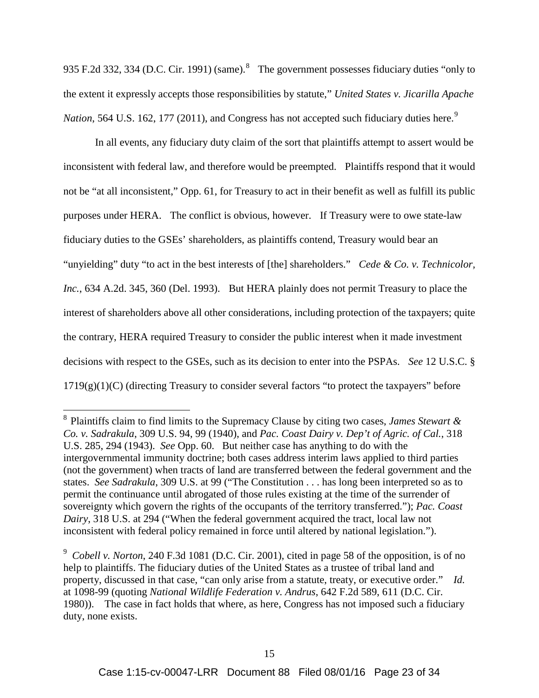935 F.2d 332, 334 (D.C. Cir. 1991) (same). $8$  The government possesses fiduciary duties "only to the extent it expressly accepts those responsibilities by statute," *United States v. Jicarilla Apache Nation*, 564 U.S. 162, 177 (2011), and Congress has not accepted such fiduciary duties here.<sup>9</sup>

In all events, any fiduciary duty claim of the sort that plaintiffs attempt to assert would be inconsistent with federal law, and therefore would be preempted. Plaintiffs respond that it would not be "at all inconsistent," Opp. 61, for Treasury to act in their benefit as well as fulfill its public purposes under HERA. The conflict is obvious, however. If Treasury were to owe state-law fiduciary duties to the GSEs' shareholders, as plaintiffs contend, Treasury would bear an "unyielding" duty "to act in the best interests of [the] shareholders." *Cede & Co. v. Technicolor, Inc.*, 634 A.2d. 345, 360 (Del. 1993). But HERA plainly does not permit Treasury to place the interest of shareholders above all other considerations, including protection of the taxpayers; quite the contrary, HERA required Treasury to consider the public interest when it made investment decisions with respect to the GSEs, such as its decision to enter into the PSPAs. *See* 12 U.S.C. §  $1719(g)(1)(C)$  (directing Treasury to consider several factors "to protect the taxpayers" before

 <sup>8</sup> Plaintiffs claim to find limits to the Supremacy Clause by citing two cases, *James Stewart & Co. v. Sadrakula*, 309 U.S. 94, 99 (1940), and *Pac. Coast Dairy v. Dep't of Agric. of Cal.*, 318 U.S. 285, 294 (1943). *See* Opp. 60. But neither case has anything to do with the intergovernmental immunity doctrine; both cases address interim laws applied to third parties (not the government) when tracts of land are transferred between the federal government and the states. *See Sadrakula*, 309 U.S. at 99 ("The Constitution . . . has long been interpreted so as to permit the continuance until abrogated of those rules existing at the time of the surrender of sovereignty which govern the rights of the occupants of the territory transferred."); *Pac. Coast Dairy*, 318 U.S. at 294 ("When the federal government acquired the tract, local law not inconsistent with federal policy remained in force until altered by national legislation.").

<sup>9</sup> *Cobell v. Norton*, 240 F.3d 1081 (D.C. Cir. 2001), cited in page 58 of the opposition, is of no help to plaintiffs. The fiduciary duties of the United States as a trustee of tribal land and property, discussed in that case, "can only arise from a statute, treaty, or executive order." *Id.* at 1098-99 (quoting *National Wildlife Federation v. Andrus*, 642 F.2d 589, 611 (D.C. Cir. 1980)). The case in fact holds that where, as here, Congress has not imposed such a fiduciary duty, none exists.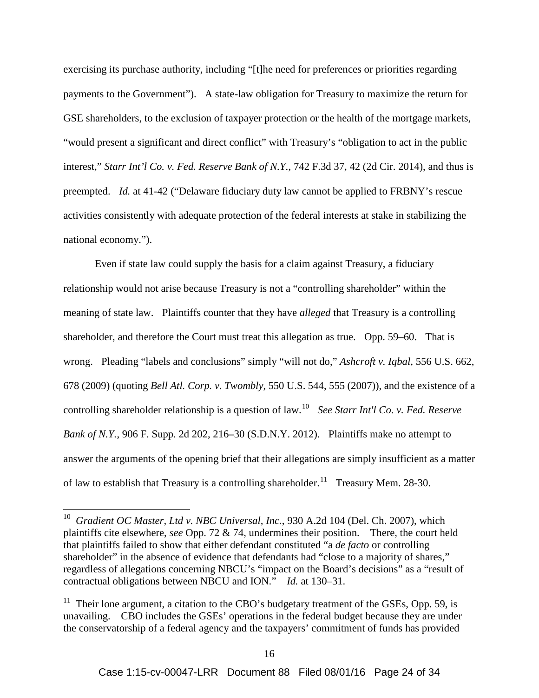exercising its purchase authority, including "[t]he need for preferences or priorities regarding payments to the Government"). A state-law obligation for Treasury to maximize the return for GSE shareholders, to the exclusion of taxpayer protection or the health of the mortgage markets, "would present a significant and direct conflict" with Treasury's "obligation to act in the public interest," *Starr Int'l Co. v. Fed. Reserve Bank of N.Y.*, 742 F.3d 37, 42 (2d Cir. 2014), and thus is preempted. *Id.* at 41-42 ("Delaware fiduciary duty law cannot be applied to FRBNY's rescue activities consistently with adequate protection of the federal interests at stake in stabilizing the national economy.").

Even if state law could supply the basis for a claim against Treasury, a fiduciary relationship would not arise because Treasury is not a "controlling shareholder" within the meaning of state law. Plaintiffs counter that they have *alleged* that Treasury is a controlling shareholder, and therefore the Court must treat this allegation as true. Opp. 59–60. That is wrong. Pleading "labels and conclusions" simply "will not do," *Ashcroft v. Iqbal*, 556 U.S. 662, 678 (2009) (quoting *Bell Atl. Corp. v. Twombly*, 550 U.S. 544, 555 (2007)), and the existence of a controlling shareholder relationship is a question of law.<sup>10</sup> *See Starr Int'l Co. v. Fed. Reserve Bank of N.Y.*, 906 F. Supp. 2d 202, 216**–**30 (S.D.N.Y. 2012). Plaintiffs make no attempt to answer the arguments of the opening brief that their allegations are simply insufficient as a matter of law to establish that Treasury is a controlling shareholder.<sup>11</sup> Treasury Mem. 28-30.

 <sup>10</sup> *Gradient OC Master, Ltd v. NBC Universal, Inc.*, 930 A.2d 104 (Del. Ch. 2007), which plaintiffs cite elsewhere, *see* Opp. 72 & 74, undermines their position. There, the court held that plaintiffs failed to show that either defendant constituted "a *de facto* or controlling shareholder" in the absence of evidence that defendants had "close to a majority of shares," regardless of allegations concerning NBCU's "impact on the Board's decisions" as a "result of contractual obligations between NBCU and ION." *Id.* at 130–31.

<sup>&</sup>lt;sup>11</sup> Their lone argument, a citation to the CBO's budgetary treatment of the GSEs, Opp. 59, is unavailing. CBO includes the GSEs' operations in the federal budget because they are under the conservatorship of a federal agency and the taxpayers' commitment of funds has provided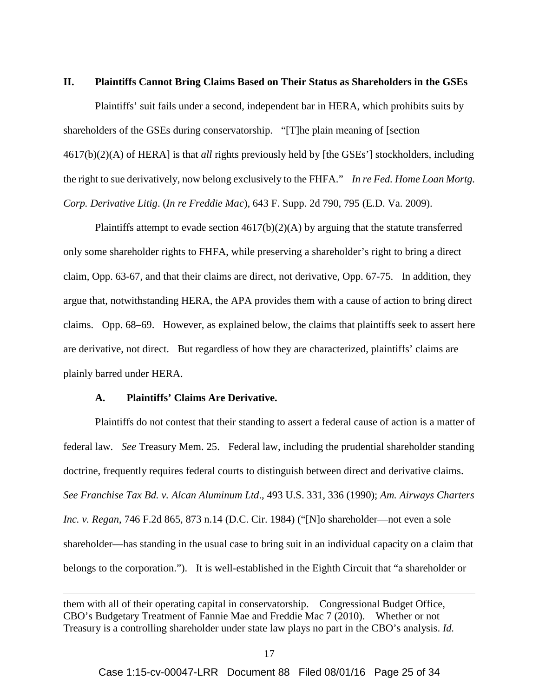#### **II. Plaintiffs Cannot Bring Claims Based on Their Status as Shareholders in the GSEs**

Plaintiffs' suit fails under a second, independent bar in HERA, which prohibits suits by shareholders of the GSEs during conservatorship. "[T]he plain meaning of [section 4617(b)(2)(A) of HERA] is that *all* rights previously held by [the GSEs'] stockholders, including the right to sue derivatively, now belong exclusively to the FHFA." *In re Fed. Home Loan Mortg. Corp. Derivative Litig*. (*In re Freddie Mac*), 643 F. Supp. 2d 790, 795 (E.D. Va. 2009).

Plaintiffs attempt to evade section  $4617(b)(2)(A)$  by arguing that the statute transferred only some shareholder rights to FHFA, while preserving a shareholder's right to bring a direct claim, Opp. 63-67, and that their claims are direct, not derivative, Opp. 67-75. In addition, they argue that, notwithstanding HERA, the APA provides them with a cause of action to bring direct claims. Opp. 68–69. However, as explained below, the claims that plaintiffs seek to assert here are derivative, not direct. But regardless of how they are characterized, plaintiffs' claims are plainly barred under HERA.

#### **A. Plaintiffs' Claims Are Derivative.**

 $\overline{a}$ 

Plaintiffs do not contest that their standing to assert a federal cause of action is a matter of federal law. *See* Treasury Mem. 25. Federal law, including the prudential shareholder standing doctrine, frequently requires federal courts to distinguish between direct and derivative claims. *See Franchise Tax Bd. v. Alcan Aluminum Ltd*., 493 U.S. 331, 336 (1990); *Am. Airways Charters Inc. v. Regan*, 746 F.2d 865, 873 n.14 (D.C. Cir. 1984) ("[N]o shareholder—not even a sole shareholder—has standing in the usual case to bring suit in an individual capacity on a claim that belongs to the corporation."). It is well-established in the Eighth Circuit that "a shareholder or

them with all of their operating capital in conservatorship. Congressional Budget Office, CBO's Budgetary Treatment of Fannie Mae and Freddie Mac 7 (2010). Whether or not Treasury is a controlling shareholder under state law plays no part in the CBO's analysis. *Id.*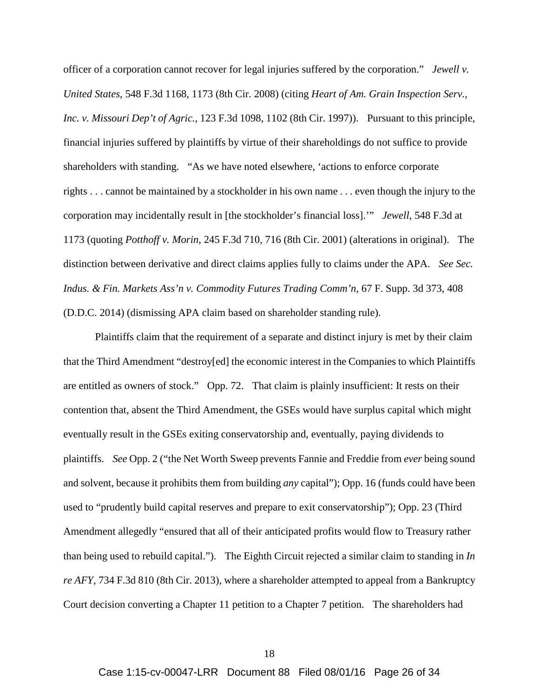officer of a corporation cannot recover for legal injuries suffered by the corporation." *Jewell v. United States*, 548 F.3d 1168, 1173 (8th Cir. 2008) (citing *Heart of Am. Grain Inspection Serv., Inc. v. Missouri Dep't of Agric.*, 123 F.3d 1098, 1102 (8th Cir. 1997)). Pursuant to this principle, financial injuries suffered by plaintiffs by virtue of their shareholdings do not suffice to provide shareholders with standing. "As we have noted elsewhere, 'actions to enforce corporate rights . . . cannot be maintained by a stockholder in his own name . . . even though the injury to the corporation may incidentally result in [the stockholder's financial loss].'" *Jewell*, 548 F.3d at 1173 (quoting *Potthoff v. Morin*, 245 F.3d 710, 716 (8th Cir. 2001) (alterations in original). The distinction between derivative and direct claims applies fully to claims under the APA. *See Sec. Indus. & Fin. Markets Ass'n v. Commodity Futures Trading Comm'n*, 67 F. Supp. 3d 373, 408 (D.D.C. 2014) (dismissing APA claim based on shareholder standing rule).

Plaintiffs claim that the requirement of a separate and distinct injury is met by their claim that the Third Amendment "destroy[ed] the economic interest in the Companies to which Plaintiffs are entitled as owners of stock." Opp. 72. That claim is plainly insufficient: It rests on their contention that, absent the Third Amendment, the GSEs would have surplus capital which might eventually result in the GSEs exiting conservatorship and, eventually, paying dividends to plaintiffs. *See* Opp. 2 ("the Net Worth Sweep prevents Fannie and Freddie from *ever* being sound and solvent, because it prohibits them from building *any* capital"); Opp. 16 (funds could have been used to "prudently build capital reserves and prepare to exit conservatorship"); Opp. 23 (Third Amendment allegedly "ensured that all of their anticipated profits would flow to Treasury rather than being used to rebuild capital."). The Eighth Circuit rejected a similar claim to standing in *In re AFY*, 734 F.3d 810 (8th Cir. 2013), where a shareholder attempted to appeal from a Bankruptcy Court decision converting a Chapter 11 petition to a Chapter 7 petition. The shareholders had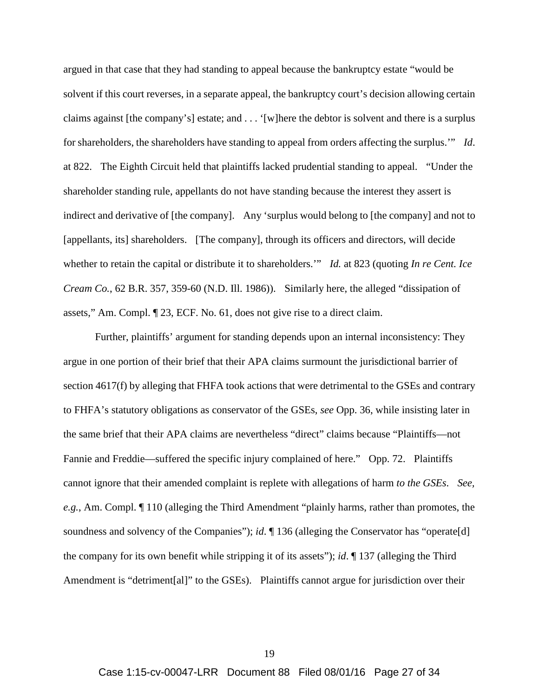argued in that case that they had standing to appeal because the bankruptcy estate "would be solvent if this court reverses, in a separate appeal, the bankruptcy court's decision allowing certain claims against [the company's] estate; and . . . '[w]here the debtor is solvent and there is a surplus for shareholders, the shareholders have standing to appeal from orders affecting the surplus.'" *Id*. at 822. The Eighth Circuit held that plaintiffs lacked prudential standing to appeal. "Under the shareholder standing rule, appellants do not have standing because the interest they assert is indirect and derivative of [the company]. Any 'surplus would belong to [the company] and not to [appellants, its] shareholders. [The company], through its officers and directors, will decide whether to retain the capital or distribute it to shareholders.'" *Id.* at 823 (quoting *In re Cent. Ice Cream Co.*, 62 B.R. 357, 359-60 (N.D. Ill. 1986)). Similarly here, the alleged "dissipation of assets," Am. Compl. ¶ 23, ECF. No. 61, does not give rise to a direct claim.

Further, plaintiffs' argument for standing depends upon an internal inconsistency: They argue in one portion of their brief that their APA claims surmount the jurisdictional barrier of section 4617(f) by alleging that FHFA took actions that were detrimental to the GSEs and contrary to FHFA's statutory obligations as conservator of the GSEs, *see* Opp. 36, while insisting later in the same brief that their APA claims are nevertheless "direct" claims because "Plaintiffs—not Fannie and Freddie—suffered the specific injury complained of here." Opp. 72. Plaintiffs cannot ignore that their amended complaint is replete with allegations of harm *to the GSEs*. *See, e.g.*, Am. Compl. ¶ 110 (alleging the Third Amendment "plainly harms, rather than promotes, the soundness and solvency of the Companies"); *id*. ¶ 136 (alleging the Conservator has "operate[d] the company for its own benefit while stripping it of its assets"); *id*. ¶ 137 (alleging the Third Amendment is "detriment[al]" to the GSEs). Plaintiffs cannot argue for jurisdiction over their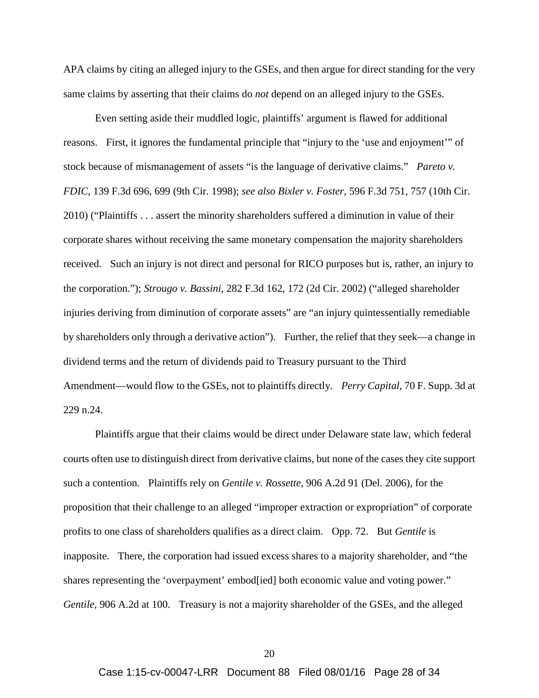APA claims by citing an alleged injury to the GSEs, and then argue for direct standing for the very same claims by asserting that their claims do *not* depend on an alleged injury to the GSEs.

Even setting aside their muddled logic, plaintiffs' argument is flawed for additional reasons. First, it ignores the fundamental principle that "injury to the 'use and enjoyment'" of stock because of mismanagement of assets "is the language of derivative claims." *Pareto v. FDIC*, 139 F.3d 696, 699 (9th Cir. 1998); *see also Bixler v. Foster*, 596 F.3d 751, 757 (10th Cir. 2010) ("Plaintiffs . . . assert the minority shareholders suffered a diminution in value of their corporate shares without receiving the same monetary compensation the majority shareholders received. Such an injury is not direct and personal for RICO purposes but is, rather, an injury to the corporation."); *Strougo v. Bassini*, 282 F.3d 162, 172 (2d Cir. 2002) ("alleged shareholder injuries deriving from diminution of corporate assets" are "an injury quintessentially remediable by shareholders only through a derivative action"). Further, the relief that they seek—a change in dividend terms and the return of dividends paid to Treasury pursuant to the Third Amendment—would flow to the GSEs, not to plaintiffs directly. *Perry Capital*, 70 F. Supp. 3d at 229 n.24.

Plaintiffs argue that their claims would be direct under Delaware state law, which federal courts often use to distinguish direct from derivative claims, but none of the cases they cite support such a contention. Plaintiffs rely on *Gentile v. Rossette*, 906 A.2d 91 (Del. 2006), for the proposition that their challenge to an alleged "improper extraction or expropriation" of corporate profits to one class of shareholders qualifies as a direct claim. Opp. 72. But *Gentile* is inapposite. There, the corporation had issued excess shares to a majority shareholder, and "the shares representing the 'overpayment' embod[ied] both economic value and voting power." *Gentile*, 906 A.2d at 100. Treasury is not a majority shareholder of the GSEs, and the alleged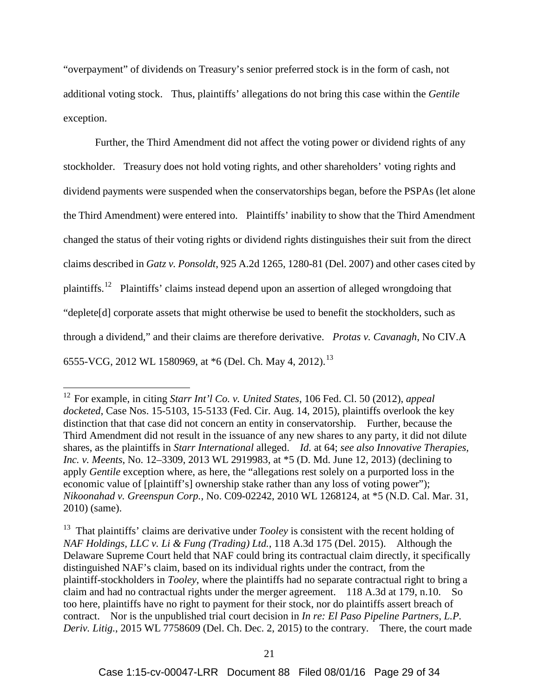"overpayment" of dividends on Treasury's senior preferred stock is in the form of cash, not additional voting stock. Thus, plaintiffs' allegations do not bring this case within the *Gentile* exception.

Further, the Third Amendment did not affect the voting power or dividend rights of any stockholder. Treasury does not hold voting rights, and other shareholders' voting rights and dividend payments were suspended when the conservatorships began, before the PSPAs (let alone the Third Amendment) were entered into. Plaintiffs' inability to show that the Third Amendment changed the status of their voting rights or dividend rights distinguishes their suit from the direct claims described in *Gatz v. Ponsoldt*, 925 A.2d 1265, 1280-81 (Del. 2007) and other cases cited by plaintiffs.<sup>12</sup> Plaintiffs' claims instead depend upon an assertion of alleged wrongdoing that "deplete[d] corporate assets that might otherwise be used to benefit the stockholders, such as through a dividend," and their claims are therefore derivative. *Protas v. Cavanagh*, No CIV.A 6555-VCG, 2012 WL 1580969, at \*6 (Del. Ch. May 4, 2012).<sup>13</sup>

 <sup>12</sup> For example, in citing *Starr Int'l Co. v. United States*, 106 Fed. Cl. 50 (2012), *appeal docketed*, Case Nos. 15-5103, 15-5133 (Fed. Cir. Aug. 14, 2015), plaintiffs overlook the key distinction that that case did not concern an entity in conservatorship. Further, because the Third Amendment did not result in the issuance of any new shares to any party, it did not dilute shares, as the plaintiffs in *Starr International* alleged. *Id.* at 64; *see also Innovative Therapies, Inc. v. Meents*, No. 12–3309, 2013 WL 2919983, at \*5 (D. Md. June 12, 2013) (declining to apply *Gentile* exception where, as here, the "allegations rest solely on a purported loss in the economic value of [plaintiff's] ownership stake rather than any loss of voting power"); *Nikoonahad v. Greenspun Corp.*, No. C09-02242, 2010 WL 1268124, at \*5 (N.D. Cal. Mar. 31, 2010) (same).

<sup>&</sup>lt;sup>13</sup> That plaintiffs' claims are derivative under *Tooley* is consistent with the recent holding of *NAF Holdings, LLC v. Li & Fung (Trading) Ltd.*, 118 A.3d 175 (Del. 2015). Although the Delaware Supreme Court held that NAF could bring its contractual claim directly, it specifically distinguished NAF's claim, based on its individual rights under the contract, from the plaintiff-stockholders in *Tooley*, where the plaintiffs had no separate contractual right to bring a claim and had no contractual rights under the merger agreement. 118 A.3d at 179, n.10. So too here, plaintiffs have no right to payment for their stock, nor do plaintiffs assert breach of contract. Nor is the unpublished trial court decision in *In re: El Paso Pipeline Partners, L.P. Deriv. Litig.*, 2015 WL 7758609 (Del. Ch. Dec. 2, 2015) to the contrary. There, the court made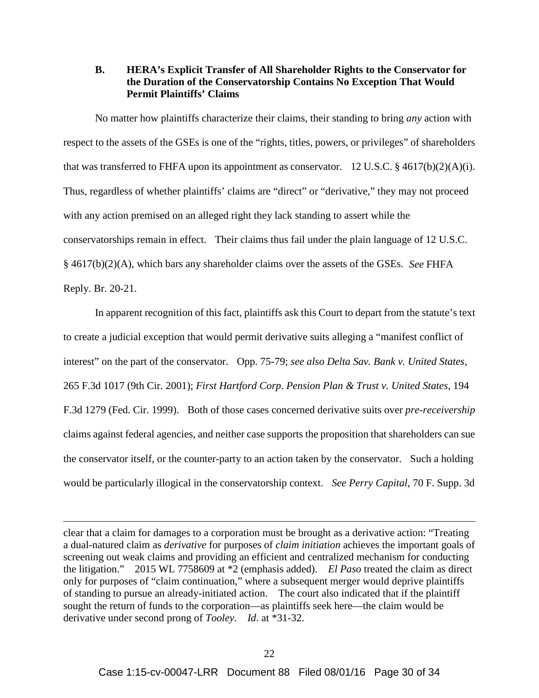#### **B. HERA's Explicit Transfer of All Shareholder Rights to the Conservator for the Duration of the Conservatorship Contains No Exception That Would Permit Plaintiffs' Claims**

No matter how plaintiffs characterize their claims, their standing to bring *any* action with respect to the assets of the GSEs is one of the "rights, titles, powers, or privileges" of shareholders that was transferred to FHFA upon its appointment as conservator. 12 U.S.C.  $\S$  4617(b)(2)(A)(i). Thus, regardless of whether plaintiffs' claims are "direct" or "derivative," they may not proceed with any action premised on an alleged right they lack standing to assert while the conservatorships remain in effect. Their claims thus fail under the plain language of 12 U.S.C. § 4617(b)(2)(A), which bars any shareholder claims over the assets of the GSEs. *See* FHFA Reply. Br. 20-21.

In apparent recognition of this fact, plaintiffs ask this Court to depart from the statute's text to create a judicial exception that would permit derivative suits alleging a "manifest conflict of interest" on the part of the conservator. Opp. 75-79; *see also Delta Sav. Bank v. United States*, 265 F.3d 1017 (9th Cir. 2001); *First Hartford Corp. Pension Plan & Trust v. United States*, 194 F.3d 1279 (Fed. Cir. 1999). Both of those cases concerned derivative suits over *pre-receivership* claims against federal agencies, and neither case supports the proposition that shareholders can sue the conservator itself, or the counter-party to an action taken by the conservator. Such a holding would be particularly illogical in the conservatorship context. *See Perry Capital*, 70 F. Supp. 3d

clear that a claim for damages to a corporation must be brought as a derivative action: "Treating a dual-natured claim as *derivative* for purposes of *claim initiation* achieves the important goals of screening out weak claims and providing an efficient and centralized mechanism for conducting the litigation." 2015 WL 7758609 at \*2 (emphasis added). *El Paso* treated the claim as direct only for purposes of "claim continuation," where a subsequent merger would deprive plaintiffs of standing to pursue an already-initiated action. The court also indicated that if the plaintiff sought the return of funds to the corporation—as plaintiffs seek here—the claim would be derivative under second prong of *Tooley*. *Id*. at \*31-32.

 $\overline{a}$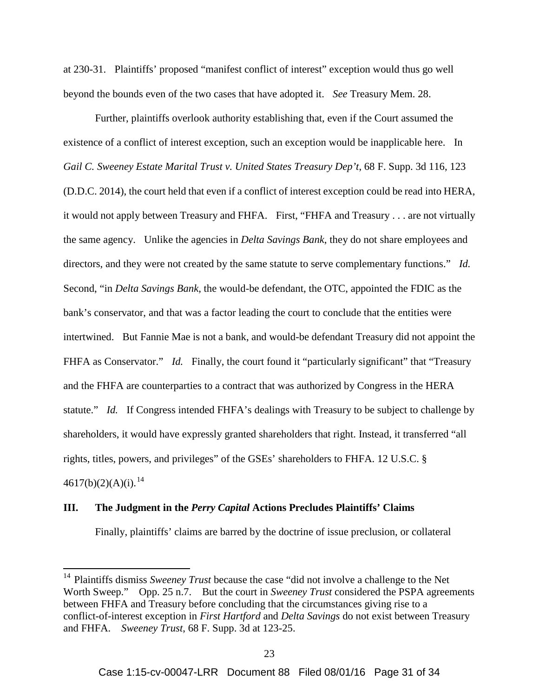at 230-31. Plaintiffs' proposed "manifest conflict of interest" exception would thus go well beyond the bounds even of the two cases that have adopted it. *See* Treasury Mem. 28.

Further, plaintiffs overlook authority establishing that, even if the Court assumed the existence of a conflict of interest exception, such an exception would be inapplicable here. In *Gail C. Sweeney Estate Marital Trust v. United States Treasury Dep't*, 68 F. Supp. 3d 116, 123 (D.D.C. 2014), the court held that even if a conflict of interest exception could be read into HERA, it would not apply between Treasury and FHFA. First, "FHFA and Treasury . . . are not virtually the same agency. Unlike the agencies in *Delta Savings Bank*, they do not share employees and directors, and they were not created by the same statute to serve complementary functions." *Id.* Second, "in *Delta Savings Bank*, the would-be defendant, the OTC, appointed the FDIC as the bank's conservator, and that was a factor leading the court to conclude that the entities were intertwined. But Fannie Mae is not a bank, and would-be defendant Treasury did not appoint the FHFA as Conservator." *Id.* Finally, the court found it "particularly significant" that "Treasury and the FHFA are counterparties to a contract that was authorized by Congress in the HERA statute." *Id.* If Congress intended FHFA's dealings with Treasury to be subject to challenge by shareholders, it would have expressly granted shareholders that right. Instead, it transferred "all rights, titles, powers, and privileges" of the GSEs' shareholders to FHFA. 12 U.S.C. §  $4617(b)(2)(A)(i).<sup>14</sup>$ 

#### **III. The Judgment in the** *Perry Capital* **Actions Precludes Plaintiffs' Claims**

Finally, plaintiffs' claims are barred by the doctrine of issue preclusion, or collateral

<sup>&</sup>lt;sup>14</sup> Plaintiffs dismiss *Sweeney Trust* because the case "did not involve a challenge to the Net Worth Sweep." Opp. 25 n.7. But the court in *Sweeney Trust* considered the PSPA agreements between FHFA and Treasury before concluding that the circumstances giving rise to a conflict-of-interest exception in *First Hartford* and *Delta Savings* do not exist between Treasury and FHFA. *Sweeney Trust*, 68 F. Supp. 3d at 123-25.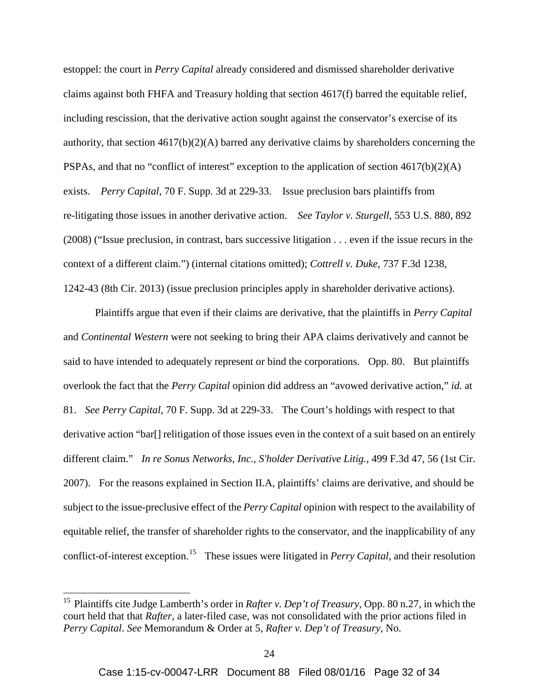estoppel: the court in *Perry Capital* already considered and dismissed shareholder derivative claims against both FHFA and Treasury holding that section 4617(f) barred the equitable relief, including rescission, that the derivative action sought against the conservator's exercise of its authority, that section  $4617(b)(2)(A)$  barred any derivative claims by shareholders concerning the PSPAs, and that no "conflict of interest" exception to the application of section 4617(b)(2)(A) exists. *Perry Capital*, 70 F. Supp. 3d at 229-33. Issue preclusion bars plaintiffs from re-litigating those issues in another derivative action. *See Taylor v. Sturgell*, 553 U.S. 880, 892 (2008) ("Issue preclusion, in contrast, bars successive litigation . . . even if the issue recurs in the context of a different claim.") (internal citations omitted); *Cottrell v. Duke*, 737 F.3d 1238, 1242-43 (8th Cir. 2013) (issue preclusion principles apply in shareholder derivative actions).

Plaintiffs argue that even if their claims are derivative, that the plaintiffs in *Perry Capital* and *Continental Western* were not seeking to bring their APA claims derivatively and cannot be said to have intended to adequately represent or bind the corporations. Opp. 80. But plaintiffs overlook the fact that the *Perry Capital* opinion did address an "avowed derivative action," *id.* at 81. *See Perry Capital*, 70 F. Supp. 3d at 229-33. The Court's holdings with respect to that derivative action "bar[] relitigation of those issues even in the context of a suit based on an entirely different claim." *In re Sonus Networks, Inc., S'holder Derivative Litig.*, 499 F.3d 47, 56 (1st Cir. 2007). For the reasons explained in Section II.A, plaintiffs' claims are derivative, and should be subject to the issue-preclusive effect of the *Perry Capital* opinion with respect to the availability of equitable relief, the transfer of shareholder rights to the conservator, and the inapplicability of any conflict-of-interest exception. <sup>15</sup> These issues were litigated in *Perry Capital*, and their resolution

 <sup>15</sup> Plaintiffs cite Judge Lamberth's order in *Rafter v. Dep't of Treasury*, Opp. 80 n.27, in which the court held that that *Rafter*, a later-filed case, was not consolidated with the prior actions filed in *Perry Capital*. *See* Memorandum & Order at 5, *Rafter v. Dep't of Treasury*, No.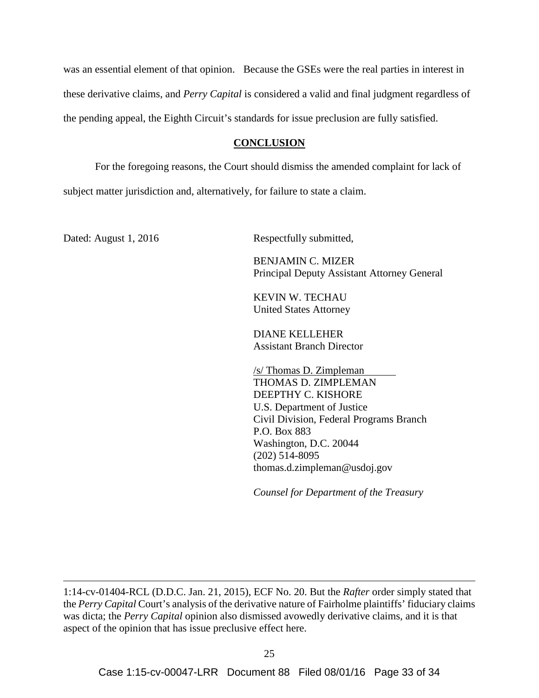was an essential element of that opinion. Because the GSEs were the real parties in interest in these derivative claims, and *Perry Capital* is considered a valid and final judgment regardless of the pending appeal, the Eighth Circuit's standards for issue preclusion are fully satisfied.

#### **CONCLUSION**

For the foregoing reasons, the Court should dismiss the amended complaint for lack of subject matter jurisdiction and, alternatively, for failure to state a claim.

 $\overline{a}$ 

Dated: August 1, 2016 Respectfully submitted,

 BENJAMIN C. MIZER Principal Deputy Assistant Attorney General

KEVIN W. TECHAU United States Attorney

DIANE KELLEHER Assistant Branch Director

/s/ Thomas D. Zimpleman THOMAS D. ZIMPLEMAN DEEPTHY C. KISHORE U.S. Department of Justice Civil Division, Federal Programs Branch P.O. Box 883 Washington, D.C. 20044 (202) 514-8095 thomas.d.zimpleman@usdoj.gov

*Counsel for Department of the Treasury*

<sup>1:14-</sup>cv-01404-RCL (D.D.C. Jan. 21, 2015), ECF No. 20. But the *Rafter* order simply stated that the *Perry Capital* Court's analysis of the derivative nature of Fairholme plaintiffs' fiduciary claims was dicta; the *Perry Capital* opinion also dismissed avowedly derivative claims, and it is that aspect of the opinion that has issue preclusive effect here.